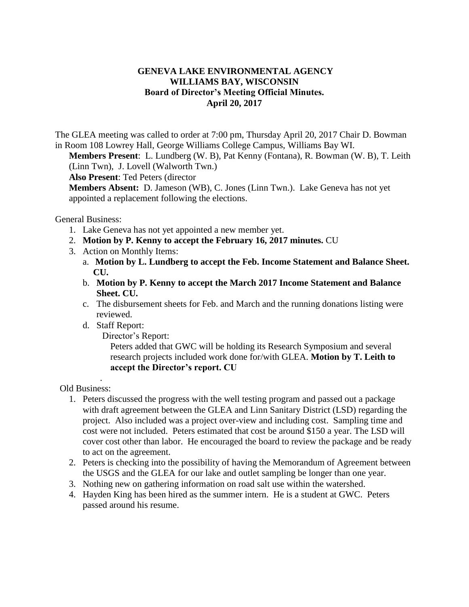## **GENEVA LAKE ENVIRONMENTAL AGENCY WILLIAMS BAY, WISCONSIN Board of Director's Meeting Official Minutes. April 20, 2017**

The GLEA meeting was called to order at 7:00 pm, Thursday April 20, 2017 Chair D. Bowman in Room 108 Lowrey Hall, George Williams College Campus, Williams Bay WI.

**Members Present**: L. Lundberg (W. B), Pat Kenny (Fontana), R. Bowman (W. B), T. Leith (Linn Twn), J. Lovell (Walworth Twn.)

**Also Present**: Ted Peters (director

**Members Absent:** D. Jameson (WB), C. Jones (Linn Twn.). Lake Geneva has not yet appointed a replacement following the elections.

General Business:

- 1. Lake Geneva has not yet appointed a new member yet.
- 2. **Motion by P. Kenny to accept the February 16, 2017 minutes.** CU
- 3. Action on Monthly Items:
	- a. **Motion by L. Lundberg to accept the Feb. Income Statement and Balance Sheet. CU.**
	- b. **Motion by P. Kenny to accept the March 2017 Income Statement and Balance Sheet. CU.**
	- c. The disbursement sheets for Feb. and March and the running donations listing were reviewed.
	- d. Staff Report:

Director's Report:

Peters added that GWC will be holding its Research Symposium and several research projects included work done for/with GLEA. **Motion by T. Leith to accept the Director's report. CU** 

Old Business:

.

- 1. Peters discussed the progress with the well testing program and passed out a package with draft agreement between the GLEA and Linn Sanitary District (LSD) regarding the project. Also included was a project over-view and including cost. Sampling time and cost were not included. Peters estimated that cost be around \$150 a year. The LSD will cover cost other than labor. He encouraged the board to review the package and be ready to act on the agreement.
- 2. Peters is checking into the possibility of having the Memorandum of Agreement between the USGS and the GLEA for our lake and outlet sampling be longer than one year.
- 3. Nothing new on gathering information on road salt use within the watershed.
- 4. Hayden King has been hired as the summer intern. He is a student at GWC. Peters passed around his resume.